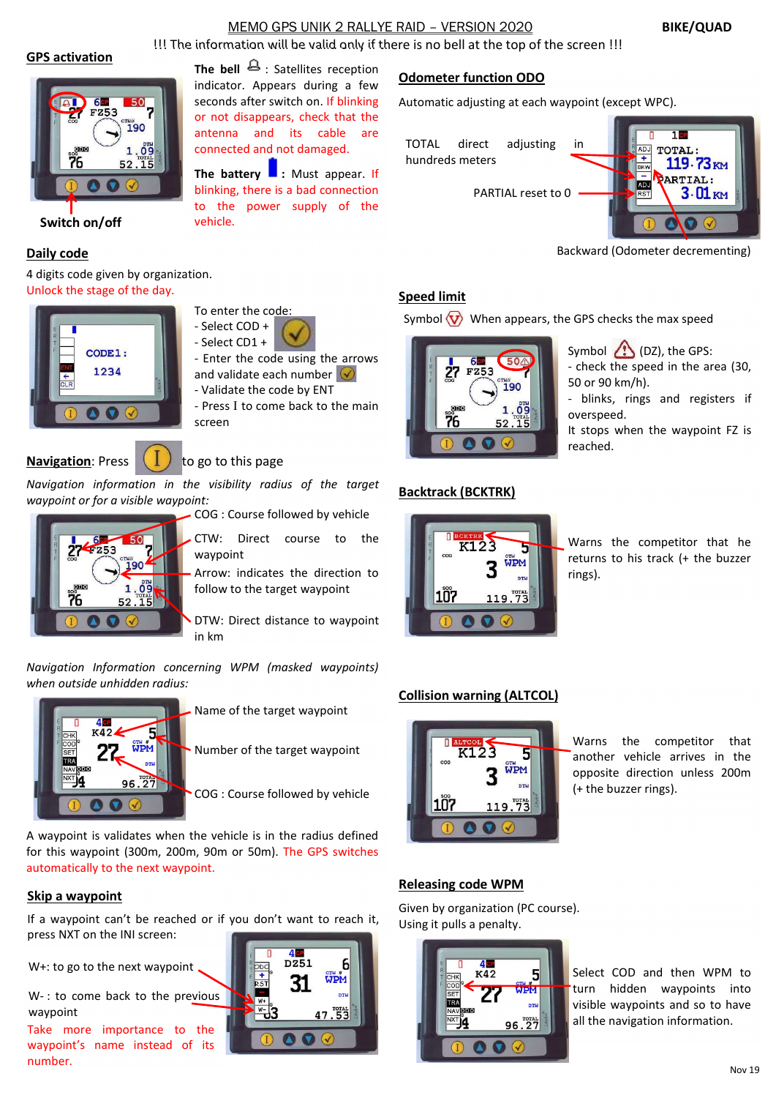# MEMO GPS UNIK 2 RALLYE RAID – VERSION 2020 BIKE/QUAD

!!! The information will be valid only if there is no bell at the top of the screen !!!

#### GPS activation



Switch on/off vehicle.

#### Daily code

4 digits code given by organization. Unlock the stage of the day.





- Select CD1 +
- Enter the code using the arrows<br>and validate each number  $\bigotimes$ and validate each number  $\bigcirc$

The bell  $\triangle$ : Satellites reception indicator. Appears during a few seconds after switch on. If blinking or not disappears, check that the antenna and its cable are connected and not damaged.

The battery  $\blacksquare$ : Must appear. If blinking, there is a bad connection to the power supply of the

- Validate the code by ENT
- Press I to come back to the main screen

# **Navigation:** Press  $\left( \begin{array}{c} \end{array} \right)$  to go to this page

Navigation information in the visibility radius of the target waypoint or for a visible waypoint:

COG : Course followed by vehicle



 $C T W:$  Direct course to the  $\begin{array}{|c|c|c|c|c|}\hline & \text{Deo} x & \text{K123} \ \hline \end{array}$ waypoint

Arrow: indicates the direction to follow to the target waypoint **107** 

DTW: Direct distance to waypoint in km

Navigation Information concerning WPM (masked waypoints) when outside unhidden radius:



Name of the target waypoint

Number of the target waypoint

A waypoint is validates when the vehicle is in the radius defined for this waypoint (300m, 200m, 90m or 50m). The GPS switches automatically to the next waypoint.

## Skip a waypoint

If a waypoint can't be reached or if you don't want to reach it, press NXT on the INI screen:

W+: to go to the next waypoint

W-: to come back to the previous waypoint

Take more importance to the waypoint's name instead of its number.



# Odometer function ODO

Automatic adjusting at each waypoint (except WPC).

TOTAL direct adjusting in **the digest of the Toral**: hundreds meters  $119.73<sub>KM</sub>$ **PARTIAL:** ADJ PARTIAL reset to 0  $3.01<sub>KM</sub>$ 

Backward (Odometer decrementing)

# Speed limit

Symbol  $\langle \mathbf{V} \rangle$  When appears, the GPS checks the max speed



Symbol (DZ), the GPS:

- check the speed in the area (30, 50 or 90 km/h).

- blinks, rings and registers if overspeed.

It stops when the waypoint FZ is reached.

## Backtrack (BCKTRK)



Warns the competitor that he returns to his track (+ the buzzer rings).

# Collision warning (ALTCOL)



Warns the competitor that another vehicle arrives in the opposite direction unless 200m (+ the buzzer rings).

## Releasing code WPM

Given by organization (PC course). Using it pulls a penalty.



Select COD and then WPM to turn hidden waypoints into visible waypoints and so to have all the navigation information.